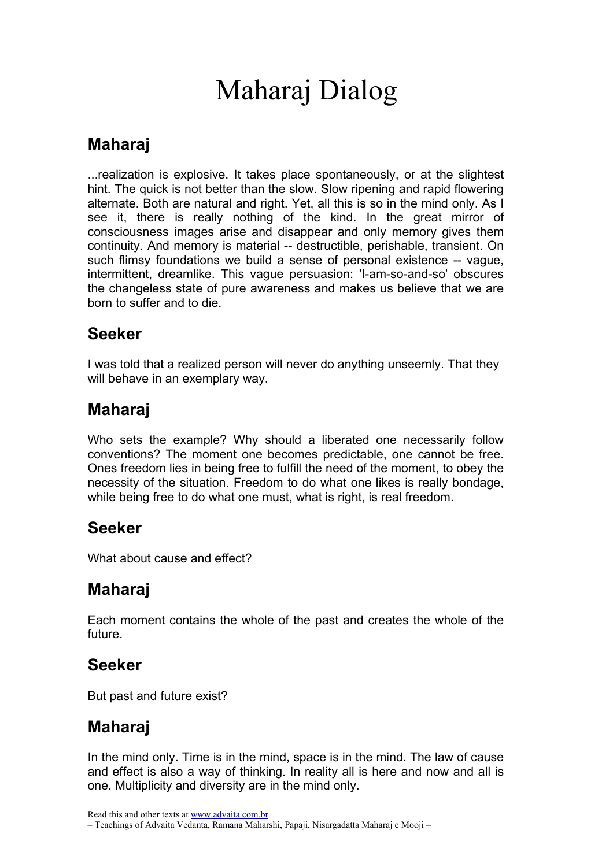# Maharaj Dialog

## Maharaj

...realization is explosive. It takes place spontaneously, or at the slightest hint. The quick is not better than the slow. Slow ripening and rapid flowering alternate. Both are natural and right. Yet, all this is so in the mind only. As I see it, there is really nothing of the kind. In the great mirror of consciousness images arise and disappear and only memory gives them continuity. And memory is material -- destructible, perishable, transient. On such flimsy foundations we build a sense of personal existence -- vague, intermittent, dreamlike. This vague persuasion: 'I-am-so-and-so' obscures the changeless state of pure awareness and makes us believe that we are born to suffer and to die.

## Seeker

I was told that a realized person will never do anything unseemly. That they will behave in an exemplary way.

# Maharaj

Who sets the example? Why should a liberated one necessarily follow conventions? The moment one becomes predictable, one cannot be free. Ones freedom lies in being free to fulfill the need of the moment, to obey the necessity of the situation. Freedom to do what one likes is really bondage, while being free to do what one must, what is right, is real freedom.

## Seeker

What about cause and effect?

## Maharaj

Each moment contains the whole of the past and creates the whole of the future.

## Seeker

But past and future exist?

## Maharaj

In the mind only. Time is in the mind, space is in the mind. The law of cause and effect is also a way of thinking. In reality all is here and now and all is one. Multiplicity and diversity are in the mind only.

Read this and other texts at www.advaita.com.br

– Teachings of Advaita Vedanta, Ramana Maharshi, Papaji, Nisargadatta Maharaj e Mooji –